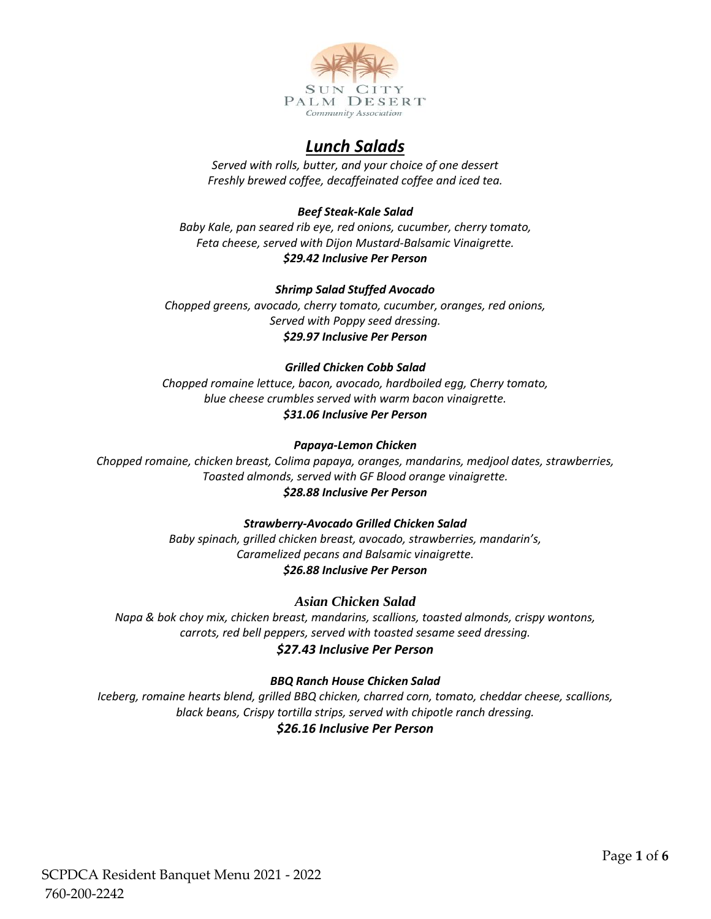

# *Lunch Salads*

*Served with rolls, butter, and your choice of one dessert Freshly brewed coffee, decaffeinated coffee and iced tea.*

# *Beef Steak-Kale Salad*

*Baby Kale, pan seared rib eye, red onions, cucumber, cherry tomato, Feta cheese, served with Dijon Mustard-Balsamic Vinaigrette. \$29.42 Inclusive Per Person*

## *Shrimp Salad Stuffed Avocado*

*Chopped greens, avocado, cherry tomato, cucumber, oranges, red onions, Served with Poppy seed dressing. \$29.97 Inclusive Per Person*

## *Grilled Chicken Cobb Salad*

*Chopped romaine lettuce, bacon, avocado, hardboiled egg, Cherry tomato, blue cheese crumbles served with warm bacon vinaigrette. \$31.06 Inclusive Per Person*

## *Papaya-Lemon Chicken*

*Chopped romaine, chicken breast, Colima papaya, oranges, mandarins, medjool dates, strawberries, Toasted almonds, served with GF Blood orange vinaigrette. \$28.88 Inclusive Per Person*

## *Strawberry-Avocado Grilled Chicken Salad*

*Baby spinach, grilled chicken breast, avocado, strawberries, mandarin's, Caramelized pecans and Balsamic vinaigrette. \$26.88 Inclusive Per Person*

## *Asian Chicken Salad*

*Napa & bok choy mix, chicken breast, mandarins, scallions, toasted almonds, crispy wontons, carrots, red bell peppers, served with toasted sesame seed dressing. \$27.43 Inclusive Per Person*

## *BBQ Ranch House Chicken Salad*

*Iceberg, romaine hearts blend, grilled BBQ chicken, charred corn, tomato, cheddar cheese, scallions, black beans, Crispy tortilla strips, served with chipotle ranch dressing. \$26.16 Inclusive Per Person*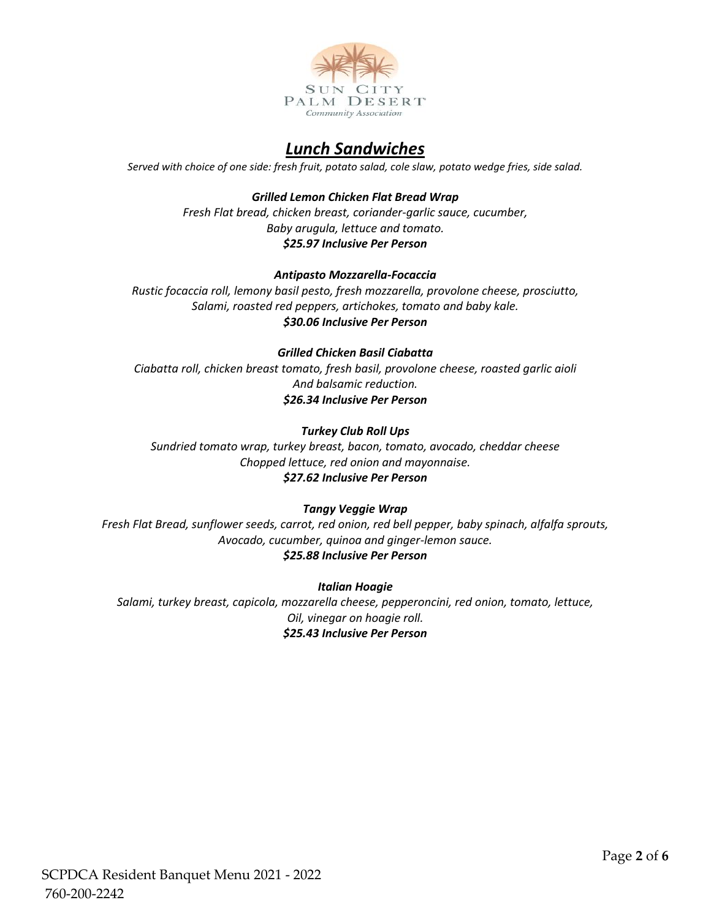

# *Lunch Sandwiches*

*Served with choice of one side: fresh fruit, potato salad, cole slaw, potato wedge fries, side salad.*

*Grilled Lemon Chicken Flat Bread Wrap Fresh Flat bread, chicken breast, coriander-garlic sauce, cucumber, Baby arugula, lettuce and tomato. \$25.97 Inclusive Per Person*

## *Antipasto Mozzarella-Focaccia*

*Rustic focaccia roll, lemony basil pesto, fresh mozzarella, provolone cheese, prosciutto, Salami, roasted red peppers, artichokes, tomato and baby kale. \$30.06 Inclusive Per Person*

# *Grilled Chicken Basil Ciabatta*

*Ciabatta roll, chicken breast tomato, fresh basil, provolone cheese, roasted garlic aioli And balsamic reduction. \$26.34 Inclusive Per Person*

## *Turkey Club Roll Ups*

*Sundried tomato wrap, turkey breast, bacon, tomato, avocado, cheddar cheese Chopped lettuce, red onion and mayonnaise. \$27.62 Inclusive Per Person*

## *Tangy Veggie Wrap*

*Fresh Flat Bread, sunflower seeds, carrot, red onion, red bell pepper, baby spinach, alfalfa sprouts, Avocado, cucumber, quinoa and ginger-lemon sauce. \$25.88 Inclusive Per Person*

# *Italian Hoagie*

*Salami, turkey breast, capicola, mozzarella cheese, pepperoncini, red onion, tomato, lettuce, Oil, vinegar on hoagie roll. \$25.43 Inclusive Per Person*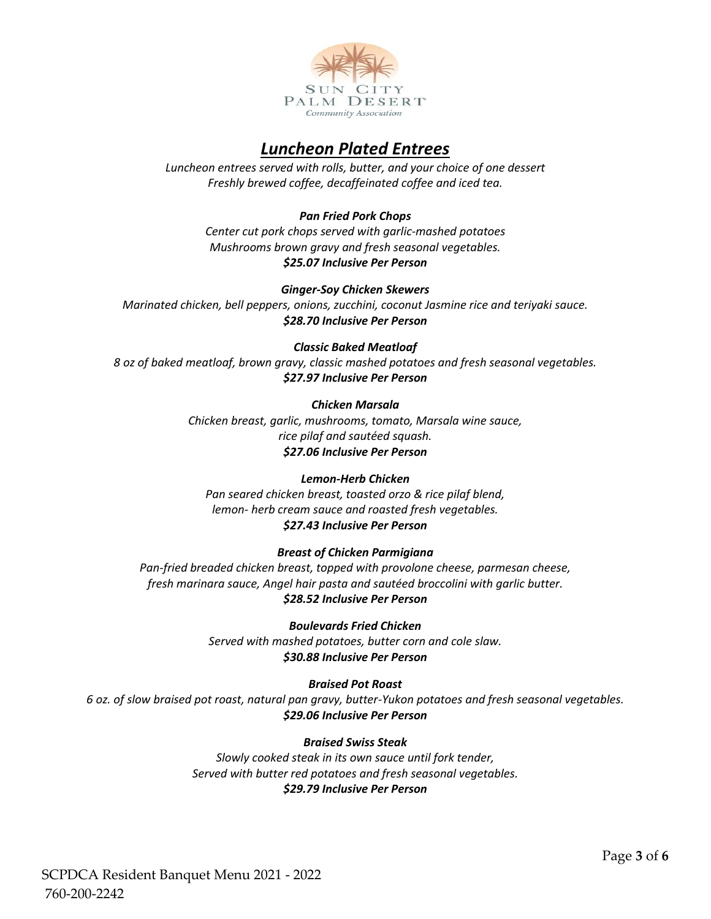

# *Luncheon Plated Entrees*

*Luncheon entrees served with rolls, butter, and your choice of one dessert Freshly brewed coffee, decaffeinated coffee and iced tea.*

## *Pan Fried Pork Chops*

*Center cut pork chops served with garlic-mashed potatoes Mushrooms brown gravy and fresh seasonal vegetables. \$25.07 Inclusive Per Person*

#### *Ginger-Soy Chicken Skewers*

*Marinated chicken, bell peppers, onions, zucchini, coconut Jasmine rice and teriyaki sauce. \$28.70 Inclusive Per Person*

#### *Classic Baked Meatloaf*

*8 oz of baked meatloaf, brown gravy, classic mashed potatoes and fresh seasonal vegetables. \$27.97 Inclusive Per Person*

#### *Chicken Marsala*

*Chicken breast, garlic, mushrooms, tomato, Marsala wine sauce, rice pilaf and sautéed squash. \$27.06 Inclusive Per Person*

#### *Lemon-Herb Chicken*

*Pan seared chicken breast, toasted orzo & rice pilaf blend, lemon- herb cream sauce and roasted fresh vegetables. \$27.43 Inclusive Per Person*

#### *Breast of Chicken Parmigiana*

*Pan-fried breaded chicken breast, topped with provolone cheese, parmesan cheese, fresh marinara sauce, Angel hair pasta and sautéed broccolini with garlic butter. \$28.52 Inclusive Per Person*

> *Boulevards Fried Chicken Served with mashed potatoes, butter corn and cole slaw. \$30.88 Inclusive Per Person*

## *Braised Pot Roast*

*6 oz. of slow braised pot roast, natural pan gravy, butter-Yukon potatoes and fresh seasonal vegetables. \$29.06 Inclusive Per Person*

#### *Braised Swiss Steak*

*Slowly cooked steak in its own sauce until fork tender, Served with butter red potatoes and fresh seasonal vegetables. \$29.79 Inclusive Per Person*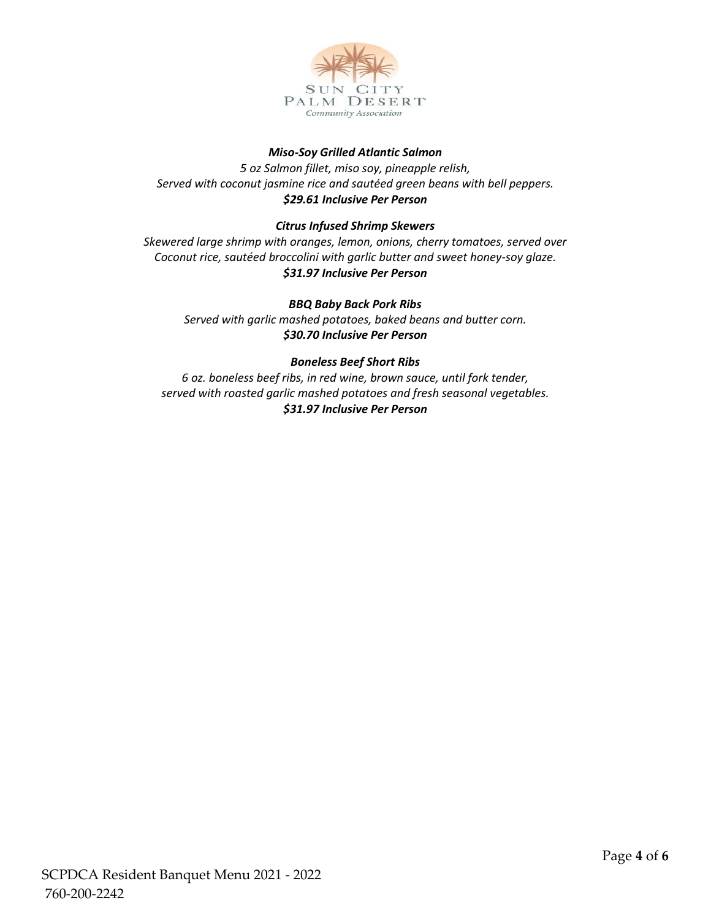

# *Miso-Soy Grilled Atlantic Salmon*

*5 oz Salmon fillet, miso soy, pineapple relish, Served with coconut jasmine rice and sautéed green beans with bell peppers. \$29.61 Inclusive Per Person*

## *Citrus Infused Shrimp Skewers*

*Skewered large shrimp with oranges, lemon, onions, cherry tomatoes, served over Coconut rice, sautéed broccolini with garlic butter and sweet honey-soy glaze. \$31.97 Inclusive Per Person* 

#### *BBQ Baby Back Pork Ribs*

*Served with garlic mashed potatoes, baked beans and butter corn. \$30.70 Inclusive Per Person*

#### *Boneless Beef Short Ribs*

*6 oz. boneless beef ribs, in red wine, brown sauce, until fork tender, served with roasted garlic mashed potatoes and fresh seasonal vegetables. \$31.97 Inclusive Per Person*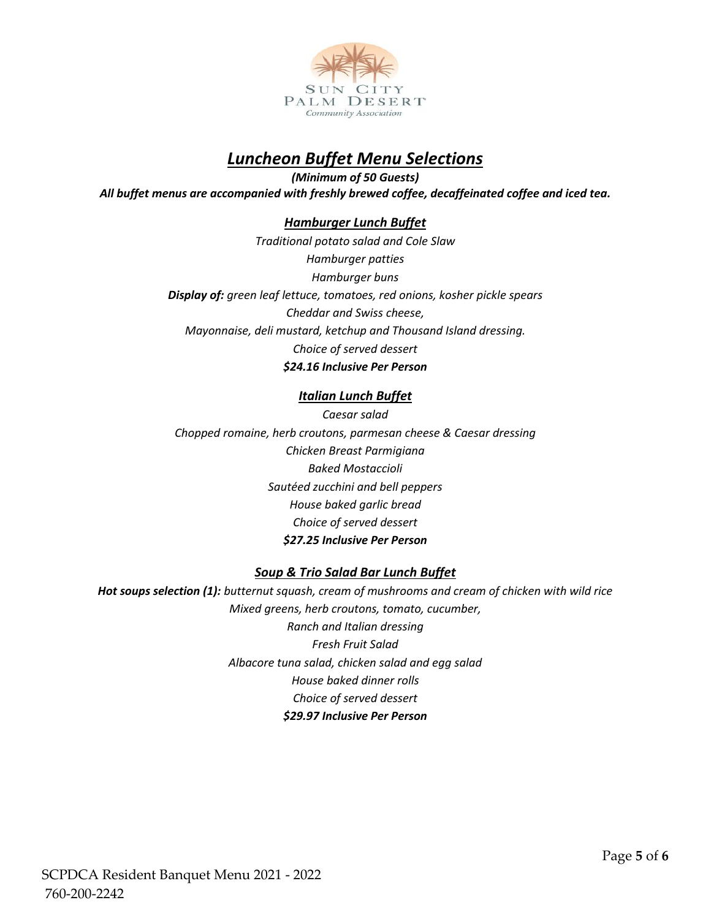

# *Luncheon Buffet Menu Selections*

*(Minimum of 50 Guests) All buffet menus are accompanied with freshly brewed coffee, decaffeinated coffee and iced tea.*

# *Hamburger Lunch Buffet*

*Traditional potato salad and Cole Slaw Hamburger patties Hamburger buns Display of: green leaf lettuce, tomatoes, red onions, kosher pickle spears Cheddar and Swiss cheese, Mayonnaise, deli mustard, ketchup and Thousand Island dressing. Choice of served dessert \$24.16 Inclusive Per Person*

# *Italian Lunch Buffet*

*Caesar salad Chopped romaine, herb croutons, parmesan cheese & Caesar dressing Chicken Breast Parmigiana Baked Mostaccioli Sautéed zucchini and bell peppers House baked garlic bread Choice of served dessert \$27.25 Inclusive Per Person*

# *Soup & Trio Salad Bar Lunch Buffet*

*Hot soups selection (1): butternut squash, cream of mushrooms and cream of chicken with wild rice Mixed greens, herb croutons, tomato, cucumber, Ranch and Italian dressing Fresh Fruit Salad Albacore tuna salad, chicken salad and egg salad House baked dinner rolls Choice of served dessert \$29.97 Inclusive Per Person*